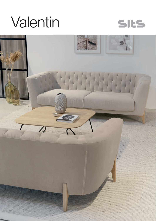



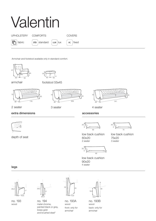|                   | Valentin                                                         |               |
|-------------------|------------------------------------------------------------------|---------------|
| <b>UPHOLSTERY</b> | COMFORTS                                                         | <b>COVERS</b> |
| fabric            | $\int$ srp standard $\int$ LUX $\int$ lux $\int$ FC $\int$ fixed |               |

Armchair and footstool available only in standard comfort.





armchair

footstool 55x45







2 seater

3 seater 4 seater



## extra dimensions



depth of seat



20  $60$ 

20 75

low back cushion

75x20

3 seater

low back cushion 60x20<br>2 seater

20 90

low back cushion 90x20 4 seater

legs



no. 193 wood



no. 194 metal chrome, painted black or grey, brass gold and brushed steel\*



no. 193A wood front: only for armchair

18 16,9 30

no. 193B wood back: only for armchair